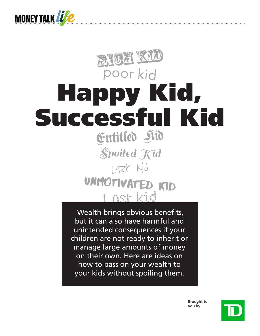

# RICH KID poor kid Happy Kid, Successful Kid **Spoiled Kid** I AZY Kid UNMOTIVATED KID i nose kried

 Wealth brings obvious benefits, but it can also have harmful and unintended consequences if your children are not ready to inherit or manage large amounts of money on their own. Here are ideas on how to pass on your wealth to your kids without spoiling them.

> **Brought to you by**

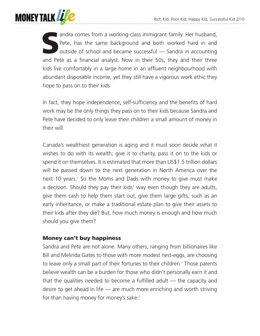

andra comes from a working-class immigrant family. Her husband,<br>Pete, has the same background and both worked hard in and<br>outside of school and became successful — Sandra in accounting<br>and Pate as a financial analyst. Now Pete, has the same background and both worked hard in and outside of school and became successful — Sandra in accounting and Pete as a financial analyst. Now in their 50s, they and their three kids live comfortably in a large home in an affluent neighbourhood with abundant disposable income, yet they still have a vigorous work ethic they hope to pass on to their kids.

In fact, they hope independence, self-sufficiency and the benefits of hard work may be the only things they pass on to their kids because Sandra and Pete have decided to only leave their children a small amount of money in their will.

Canada's wealthiest generation is aging and it must soon decide what it wishes to do with its wealth; give it to charity, pass it on to the kids or spend it on themselves. It is estimated that more than US\$1.5 trillion dollars will be passed down to the next generation in North America over the next 10 years.<sup>1</sup> So the Moms and Dads with money to give must make a decision. Should they pay their kids' way even though they are adults, give them cash to help them start out, give them large gifts, such as an early inheritance, or make a traditional estate plan to give their assets to their kids after they die? But, how much money is enough and how much should you give them?

## Money can't buy happiness

Sandra and Pete are not alone. Many others, ranging from billionaires like Bill and Melinda Gates to those with more modest nest-eggs, are choosing to leave only a small part of their fortunes to their children.<sup>2</sup> Those parents believe wealth can be a burden for those who didn't personally earn it and that the qualities needed to become a fulfilled adult — the capacity and desire to get ahead in life — are much more enriching and worth striving for than having money for money's sake.<sup>3</sup>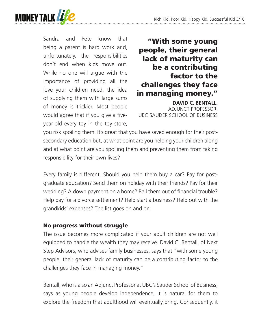

Sandra and Pete know that being a parent is hard work and, unfortunately, the responsibilities don't end when kids move out. While no one will argue with the importance of providing all the love your children need, the idea of supplying them with large sums of money is trickier. Most people would agree that if you give a fiveyear-old every toy in the toy store,

"With some young people, their general lack of maturity can be a contributing factor to the challenges they face in managing money."

**DAVID C. BENTALL,** ADJUNCT PROFESSOR, UBC SAUDER SCHOOL OF BUSINESS

you risk spoiling them. It's great that you have saved enough for their postsecondary education but, at what point are you helping your children along and at what point are you spoiling them and preventing them from taking responsibility for their own lives?

Every family is different. Should you help them buy a car? Pay for postgraduate education? Send them on holiday with their friends? Pay for their wedding? A down payment on a home? Bail them out of financial trouble? Help pay for a divorce settlement? Help start a business? Help out with the grandkids' expenses? The list goes on and on.

#### No progress without struggle

The issue becomes more complicated if your adult children are not well equipped to handle the wealth they may receive. David C. Bentall, of Next Step Advisors, who advises family businesses, says that "with some young people, their general lack of maturity can be a contributing factor to the challenges they face in managing money."

Bentall, who is also an Adjunct Professor at UBC's Sauder School of Business, says as young people develop independence, it is natural for them to explore the freedom that adulthood will eventually bring. Consequently, it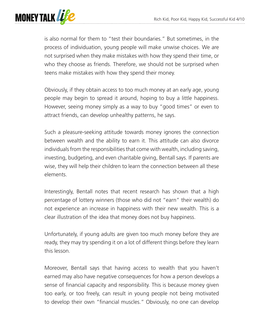

is also normal for them to "test their boundaries." But sometimes, in the process of individuation, young people will make unwise choices. We are not surprised when they make mistakes with how they spend their time, or who they choose as friends. Therefore, we should not be surprised when teens make mistakes with how they spend their money.

Obviously, if they obtain access to too much money at an early age, young people may begin to spread it around, hoping to buy a little happiness. However, seeing money simply as a way to buy "good times" or even to attract friends, can develop unhealthy patterns, he says.

Such a pleasure-seeking attitude towards money ignores the connection between wealth and the ability to earn it. This attitude can also divorce individuals from the responsibilities that come with wealth, including saving, investing, budgeting, and even charitable giving, Bentall says. If parents are wise, they will help their children to learn the connection between all these elements.

Interestingly, Bentall notes that recent research has shown that a high percentage of lottery winners (those who did not "earn" their wealth) do not experience an increase in happiness with their new wealth. This is a clear illustration of the idea that money does not buy happiness.

Unfortunately, if young adults are given too much money before they are ready, they may try spending it on a lot of different things before they learn this lesson.

Moreover, Bentall says that having access to wealth that you haven't earned may also have negative consequences for how a person develops a sense of financial capacity and responsibility. This is because money given too early, or too freely, can result in young people not being motivated to develop their own "financial muscles." Obviously, no one can develop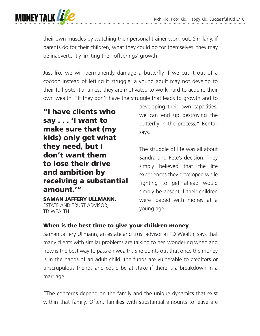

their own muscles by watching their personal trainer work out. Similarly, if parents do for their children, what they could do for themselves, they may be inadvertently limiting their offsprings' growth.

Just like we will permanently damage a butterfly if we cut it out of a cocoon instead of letting it struggle, a young adult may not develop to their full potential unless they are motivated to work hard to acquire their own wealth. "If they don't have the struggle that leads to growth and to

"I have clients who say . . . 'I want to make sure that (my kids) only get what they need, but I don't want them to lose their drive and ambition by receiving a substantial amount.'"

SAMAN JAFFERY ULLMANN, ESTATE AND TRUST ADVISOR, TD WEALTH

developing their own capacities, we can end up destroying the butterfly in the process," Bentall says.

The struggle of life was all about Sandra and Pete's decision. They simply believed that the life experiences they developed while fighting to get ahead would simply be absent if their children were loaded with money at a young age.

## When is the best time to give your children money

Saman Jaffery Ullmann, an estate and trust advisor at TD Wealth, says that many clients with similar problems are talking to her, wondering when and how is the best way to pass on wealth. She points out that once the money is in the hands of an adult child, the funds are vulnerable to creditors or unscrupulous friends and could be at stake if there is a breakdown in a marriage.

"The concerns depend on the family and the unique dynamics that exist within that family. Often, families with substantial amounts to leave are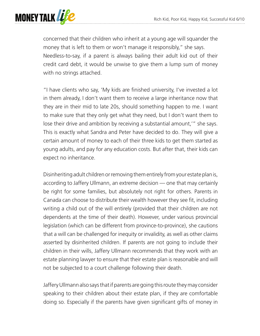

concerned that their children who inherit at a young age will squander the money that is left to them or won't manage it responsibly," she says. Needless-to-say, if a parent is always bailing their adult kid out of their credit card debt, it would be unwise to give them a lump sum of money with no strings attached.

"I have clients who say, 'My kids are finished university, I've invested a lot in them already, I don't want them to receive a large inheritance now that they are in their mid to late 20s, should something happen to me. I want to make sure that they only get what they need, but I don't want them to lose their drive and ambition by receiving a substantial amount,'" she says. This is exactly what Sandra and Peter have decided to do. They will give a certain amount of money to each of their three kids to get them started as young adults, and pay for any education costs. But after that, their kids can expect no inheritance.

Disinheriting adult children or removing them entirely from your estate plan is, according to Jaffery Ullmann, an extreme decision — one that may certainly be right for some families, but absolutely not right for others. Parents in Canada can choose to distribute their wealth however they see fit, including writing a child out of the will entirely (provided that their children are not dependents at the time of their death). However, under various provincial legislation (which can be different from province-to-province), she cautions that a will can be challenged for inequity or invalidity, as well as other claims asserted by disinherited children. If parents are not going to include their children in their wills, Jaffery Ullmann recommends that they work with an estate planning lawyer to ensure that their estate plan is reasonable and will not be subjected to a court challenge following their death.

Jaffery Ullmann also says that if parents are going this route they may consider speaking to their children about their estate plan, if they are comfortable doing so. Especially if the parents have given significant gifts of money in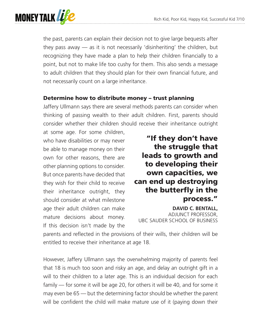

the past, parents can explain their decision not to give large bequests after they pass away — as it is not necessarily 'disinheriting' the children, but recognizing they have made a plan to help their children financially to a point, but not to make life too cushy for them. This also sends a message to adult children that they should plan for their own financial future, and not necessarily count on a large inheritance.

## Determine how to distribute money – trust planning

Jaffery Ullmann says there are several methods parents can consider when thinking of passing wealth to their adult children. First, parents should consider whether their children should receive their inheritance outright

at some age. For some children, who have disabilities or may never be able to manage money on their own for other reasons, there are other planning options to consider. But once parents have decided that they wish for their child to receive their inheritance outright, they should consider at what milestone age their adult children can make mature decisions about money. If this decision isn't made by the

"If they don't have the struggle that leads to growth and to developing their own capacities, we can end up destroying the butterfly in the process."

**DAVID C. BENTALL,** ADJUNCT PROFESSOR, UBC SAUDER SCHOOL OF BUSINESS

parents and reflected in the provisions of their wills, their children will be entitled to receive their inheritance at age 18.

However, Jaffery Ullmann says the overwhelming majority of parents feel that 18 is much too soon and risky an age, and delay an outright gift in a will to their children to a later age. This is an individual decision for each family — for some it will be age 20, for others it will be 40, and for some it may even be 65 — but the determining factor should be whether the parent will be confident the child will make mature use of it (paying down their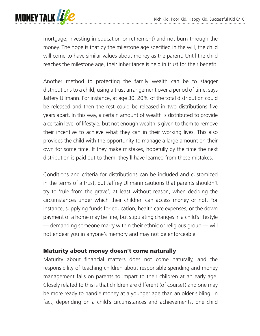

mortgage, investing in education or retirement) and not burn through the money. The hope is that by the milestone age specified in the will, the child will come to have similar values about money as the parent. Until the child reaches the milestone age, their inheritance is held in trust for their benefit.

Another method to protecting the family wealth can be to stagger distributions to a child, using a trust arrangement over a period of time, says Jaffery Ullmann. For instance, at age 30, 20% of the total distribution could be released and then the rest could be released in two distributions five years apart. In this way, a certain amount of wealth is distributed to provide a certain level of lifestyle, but not enough wealth is given to them to remove their incentive to achieve what they can in their working lives. This also provides the child with the opportunity to manage a large amount on their own for some time. If they make mistakes, hopefully by the time the next distribution is paid out to them, they'll have learned from these mistakes.

Conditions and criteria for distributions can be included and customized in the terms of a trust, but Jaffrey Ullmann cautions that parents shouldn't try to 'rule from the grave', at least without reason, when deciding the circumstances under which their children can access money or not. For instance, supplying funds for education, health care expenses, or the down payment of a home may be fine, but stipulating changes in a child's lifestyle — demanding someone marry within their ethnic or religious group — will not endear you in anyone's memory and may not be enforceable.

## Maturity about money doesn't come naturally

Maturity about financial matters does not come naturally, and the responsibility of teaching children about responsible spending and money management falls on parents to impart to their children at an early age. Closely related to this is that children are different (of course!) and one may be more ready to handle money at a younger age than an older sibling. In fact, depending on a child's circumstances and achievements, one child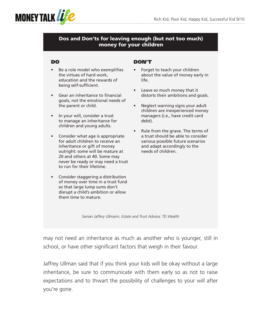

#### Dos and Don'ts for leaving enough (but not too much) money for your children

#### DO

- Be a role model who exemplifies the virtues of hard work, education and the rewards of being self-sufficient.
- Gear an inheritance to financial goals, not the emotional needs of the parent or child.
- In your will, consider a trust to manage an inheritance for children and young adults.
- Consider what age is appropriate for adult children to receive an inheritance or gift of money outright: some will be mature at 20 and others at 40. Some may never be ready or may need a trust to run for their lifetime.
- Consider staggering a distribution of money over time in a trust fund so that large lump sums don't disrupt a child's ambition or allow them time to mature.

#### DON'T

- Forget to teach your children about the value of money early in life.
- Leave so much money that it distorts their ambitions and goals.
- Neglect warning signs your adult children are inexperienced money managers (i.e., have credit card debt).
- Rule from the grave. The terms of a trust should be able to consider various possible future scenarios and adapt accordingly to the needs of children.

*Saman Jaffery Ullmann, Estate and Trust Advisor, TD Wealth*

may not need an inheritance as much as another who is younger, still in school, or have other significant factors that weigh in their favour.

Jaffrey Ullman said that if you think your kids will be okay without a large inheritance, be sure to communicate with them early so as not to raise expectations and to thwart the possibility of challenges to your will after you're gone.